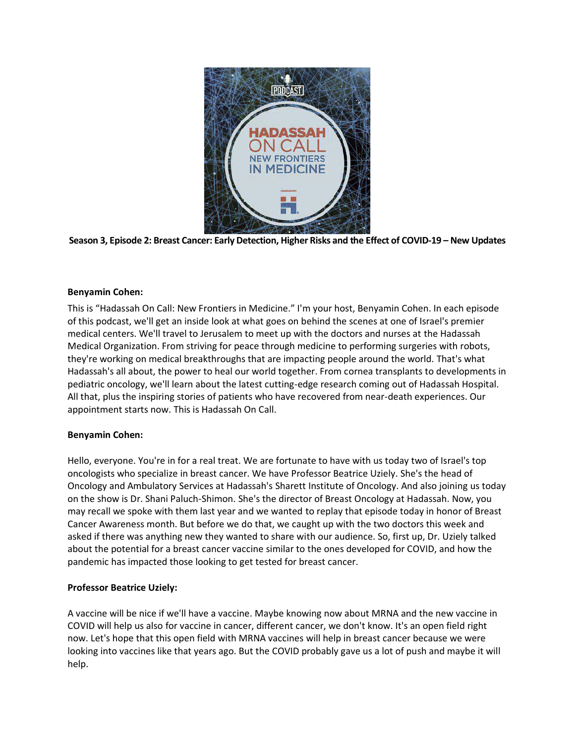



## **Benyamin Cohen:**

This is "Hadassah On Call: New Frontiers in Medicine." I'm your host, Benyamin Cohen. In each episode of this podcast, we'll get an inside look at what goes on behind the scenes at one of Israel's premier medical centers. We'll travel to Jerusalem to meet up with the doctors and nurses at the Hadassah Medical Organization. From striving for peace through medicine to performing surgeries with robots, they're working on medical breakthroughs that are impacting people around the world. That's what Hadassah's all about, the power to heal our world together. From cornea transplants to developments in pediatric oncology, we'll learn about the latest cutting-edge research coming out of Hadassah Hospital. All that, plus the inspiring stories of patients who have recovered from near-death experiences. Our appointment starts now. This is Hadassah On Call.

## **Benyamin Cohen:**

Hello, everyone. You're in for a real treat. We are fortunate to have with us today two of Israel's top oncologists who specialize in breast cancer. We have Professor Beatrice Uziely. She's the head of Oncology and Ambulatory Services at Hadassah's Sharett Institute of Oncology. And also joining us today on the show is Dr. Shani Paluch-Shimon. She's the director of Breast Oncology at Hadassah. Now, you may recall we spoke with them last year and we wanted to replay that episode today in honor of Breast Cancer Awareness month. But before we do that, we caught up with the two doctors this week and asked if there was anything new they wanted to share with our audience. So, first up, Dr. Uziely talked about the potential for a breast cancer vaccine similar to the ones developed for COVID, and how the pandemic has impacted those looking to get tested for breast cancer.

## **Professor Beatrice Uziely:**

A vaccine will be nice if we'll have a vaccine. Maybe knowing now about MRNA and the new vaccine in COVID will help us also for vaccine in cancer, different cancer, we don't know. It's an open field right now. Let's hope that this open field with MRNA vaccines will help in breast cancer because we were looking into vaccines like that years ago. But the COVID probably gave us a lot of push and maybe it will help.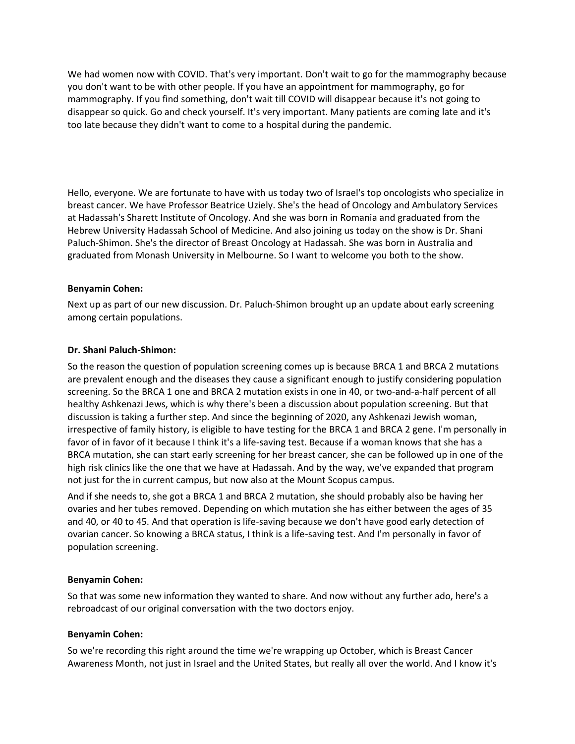We had women now with COVID. That's very important. Don't wait to go for the mammography because you don't want to be with other people. If you have an appointment for mammography, go for mammography. If you find something, don't wait till COVID will disappear because it's not going to disappear so quick. Go and check yourself. It's very important. Many patients are coming late and it's too late because they didn't want to come to a hospital during the pandemic.

Hello, everyone. We are fortunate to have with us today two of Israel's top oncologists who specialize in breast cancer. We have Professor Beatrice Uziely. She's the head of Oncology and Ambulatory Services at Hadassah's Sharett Institute of Oncology. And she was born in Romania and graduated from the Hebrew University Hadassah School of Medicine. And also joining us today on the show is Dr. Shani Paluch-Shimon. She's the director of Breast Oncology at Hadassah. She was born in Australia and graduated from Monash University in Melbourne. So I want to welcome you both to the show.

#### **Benyamin Cohen:**

Next up as part of our new discussion. Dr. Paluch-Shimon brought up an update about early screening among certain populations.

#### **Dr. Shani Paluch-Shimon:**

So the reason the question of population screening comes up is because BRCA 1 and BRCA 2 mutations are prevalent enough and the diseases they cause a significant enough to justify considering population screening. So the BRCA 1 one and BRCA 2 mutation exists in one in 40, or two-and-a-half percent of all healthy Ashkenazi Jews, which is why there's been a discussion about population screening. But that discussion is taking a further step. And since the beginning of 2020, any Ashkenazi Jewish woman, irrespective of family history, is eligible to have testing for the BRCA 1 and BRCA 2 gene. I'm personally in favor of in favor of it because I think it's a life-saving test. Because if a woman knows that she has a BRCA mutation, she can start early screening for her breast cancer, she can be followed up in one of the high risk clinics like the one that we have at Hadassah. And by the way, we've expanded that program not just for the in current campus, but now also at the Mount Scopus campus.

And if she needs to, she got a BRCA 1 and BRCA 2 mutation, she should probably also be having her ovaries and her tubes removed. Depending on which mutation she has either between the ages of 35 and 40, or 40 to 45. And that operation is life-saving because we don't have good early detection of ovarian cancer. So knowing a BRCA status, I think is a life-saving test. And I'm personally in favor of population screening.

#### **Benyamin Cohen:**

So that was some new information they wanted to share. And now without any further ado, here's a rebroadcast of our original conversation with the two doctors enjoy.

#### **Benyamin Cohen:**

So we're recording this right around the time we're wrapping up October, which is Breast Cancer Awareness Month, not just in Israel and the United States, but really all over the world. And I know it's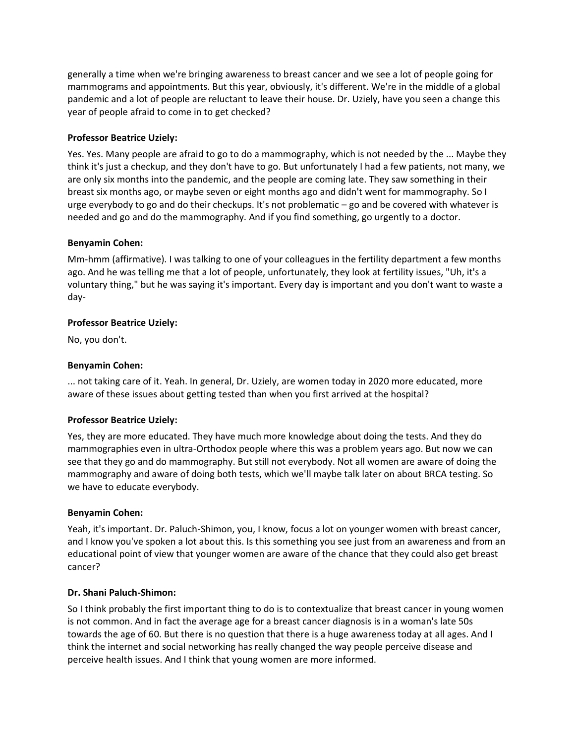generally a time when we're bringing awareness to breast cancer and we see a lot of people going for mammograms and appointments. But this year, obviously, it's different. We're in the middle of a global pandemic and a lot of people are reluctant to leave their house. Dr. Uziely, have you seen a change this year of people afraid to come in to get checked?

## **Professor Beatrice Uziely:**

Yes. Yes. Many people are afraid to go to do a mammography, which is not needed by the ... Maybe they think it's just a checkup, and they don't have to go. But unfortunately I had a few patients, not many, we are only six months into the pandemic, and the people are coming late. They saw something in their breast six months ago, or maybe seven or eight months ago and didn't went for mammography. So I urge everybody to go and do their checkups. It's not problematic – go and be covered with whatever is needed and go and do the mammography. And if you find something, go urgently to a doctor.

## **Benyamin Cohen:**

Mm-hmm (affirmative). I was talking to one of your colleagues in the fertility department a few months ago. And he was telling me that a lot of people, unfortunately, they look at fertility issues, "Uh, it's a voluntary thing," but he was saying it's important. Every day is important and you don't want to waste a day-

# **Professor Beatrice Uziely:**

No, you don't.

# **Benyamin Cohen:**

... not taking care of it. Yeah. In general, Dr. Uziely, are women today in 2020 more educated, more aware of these issues about getting tested than when you first arrived at the hospital?

## **Professor Beatrice Uziely:**

Yes, they are more educated. They have much more knowledge about doing the tests. And they do mammographies even in ultra-Orthodox people where this was a problem years ago. But now we can see that they go and do mammography. But still not everybody. Not all women are aware of doing the mammography and aware of doing both tests, which we'll maybe talk later on about BRCA testing. So we have to educate everybody.

## **Benyamin Cohen:**

Yeah, it's important. Dr. Paluch-Shimon, you, I know, focus a lot on younger women with breast cancer, and I know you've spoken a lot about this. Is this something you see just from an awareness and from an educational point of view that younger women are aware of the chance that they could also get breast cancer?

## **Dr. Shani Paluch-Shimon:**

So I think probably the first important thing to do is to contextualize that breast cancer in young women is not common. And in fact the average age for a breast cancer diagnosis is in a woman's late 50s towards the age of 60. But there is no question that there is a huge awareness today at all ages. And I think the internet and social networking has really changed the way people perceive disease and perceive health issues. And I think that young women are more informed.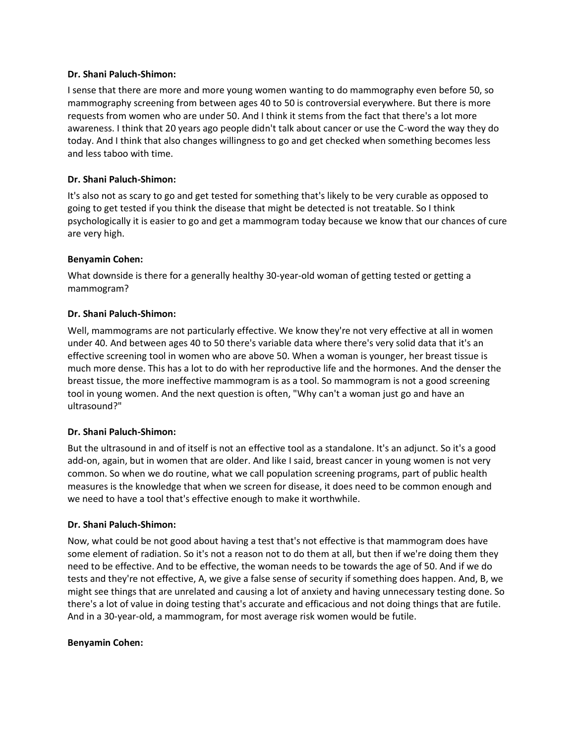#### **Dr. Shani Paluch-Shimon:**

I sense that there are more and more young women wanting to do mammography even before 50, so mammography screening from between ages 40 to 50 is controversial everywhere. But there is more requests from women who are under 50. And I think it stems from the fact that there's a lot more awareness. I think that 20 years ago people didn't talk about cancer or use the C-word the way they do today. And I think that also changes willingness to go and get checked when something becomes less and less taboo with time.

## **Dr. Shani Paluch-Shimon:**

It's also not as scary to go and get tested for something that's likely to be very curable as opposed to going to get tested if you think the disease that might be detected is not treatable. So I think psychologically it is easier to go and get a mammogram today because we know that our chances of cure are very high.

# **Benyamin Cohen:**

What downside is there for a generally healthy 30-year-old woman of getting tested or getting a mammogram?

# **Dr. Shani Paluch-Shimon:**

Well, mammograms are not particularly effective. We know they're not very effective at all in women under 40. And between ages 40 to 50 there's variable data where there's very solid data that it's an effective screening tool in women who are above 50. When a woman is younger, her breast tissue is much more dense. This has a lot to do with her reproductive life and the hormones. And the denser the breast tissue, the more ineffective mammogram is as a tool. So mammogram is not a good screening tool in young women. And the next question is often, "Why can't a woman just go and have an ultrasound?"

## **Dr. Shani Paluch-Shimon:**

But the ultrasound in and of itself is not an effective tool as a standalone. It's an adjunct. So it's a good add-on, again, but in women that are older. And like I said, breast cancer in young women is not very common. So when we do routine, what we call population screening programs, part of public health measures is the knowledge that when we screen for disease, it does need to be common enough and we need to have a tool that's effective enough to make it worthwhile.

## **Dr. Shani Paluch-Shimon:**

Now, what could be not good about having a test that's not effective is that mammogram does have some element of radiation. So it's not a reason not to do them at all, but then if we're doing them they need to be effective. And to be effective, the woman needs to be towards the age of 50. And if we do tests and they're not effective, A, we give a false sense of security if something does happen. And, B, we might see things that are unrelated and causing a lot of anxiety and having unnecessary testing done. So there's a lot of value in doing testing that's accurate and efficacious and not doing things that are futile. And in a 30-year-old, a mammogram, for most average risk women would be futile.

## **Benyamin Cohen:**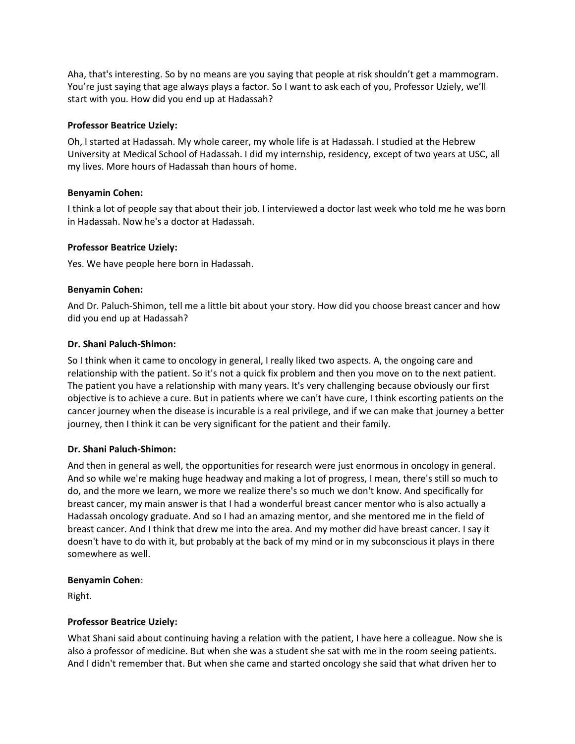Aha, that's interesting. So by no means are you saying that people at risk shouldn't get a mammogram. You're just saying that age always plays a factor. So I want to ask each of you, Professor Uziely, we'll start with you. How did you end up at Hadassah?

## **Professor Beatrice Uziely:**

Oh, I started at Hadassah. My whole career, my whole life is at Hadassah. I studied at the Hebrew University at Medical School of Hadassah. I did my internship, residency, except of two years at USC, all my lives. More hours of Hadassah than hours of home.

# **Benyamin Cohen:**

I think a lot of people say that about their job. I interviewed a doctor last week who told me he was born in Hadassah. Now he's a doctor at Hadassah.

# **Professor Beatrice Uziely:**

Yes. We have people here born in Hadassah.

# **Benyamin Cohen:**

And Dr. Paluch-Shimon, tell me a little bit about your story. How did you choose breast cancer and how did you end up at Hadassah?

# **Dr. Shani Paluch-Shimon:**

So I think when it came to oncology in general, I really liked two aspects. A, the ongoing care and relationship with the patient. So it's not a quick fix problem and then you move on to the next patient. The patient you have a relationship with many years. It's very challenging because obviously our first objective is to achieve a cure. But in patients where we can't have cure, I think escorting patients on the cancer journey when the disease is incurable is a real privilege, and if we can make that journey a better journey, then I think it can be very significant for the patient and their family.

## **Dr. Shani Paluch-Shimon:**

And then in general as well, the opportunities for research were just enormous in oncology in general. And so while we're making huge headway and making a lot of progress, I mean, there's still so much to do, and the more we learn, we more we realize there's so much we don't know. And specifically for breast cancer, my main answer is that I had a wonderful breast cancer mentor who is also actually a Hadassah oncology graduate. And so I had an amazing mentor, and she mentored me in the field of breast cancer. And I think that drew me into the area. And my mother did have breast cancer. I say it doesn't have to do with it, but probably at the back of my mind or in my subconscious it plays in there somewhere as well.

## **Benyamin Cohen**:

Right.

# **Professor Beatrice Uziely:**

What Shani said about continuing having a relation with the patient, I have here a colleague. Now she is also a professor of medicine. But when she was a student she sat with me in the room seeing patients. And I didn't remember that. But when she came and started oncology she said that what driven her to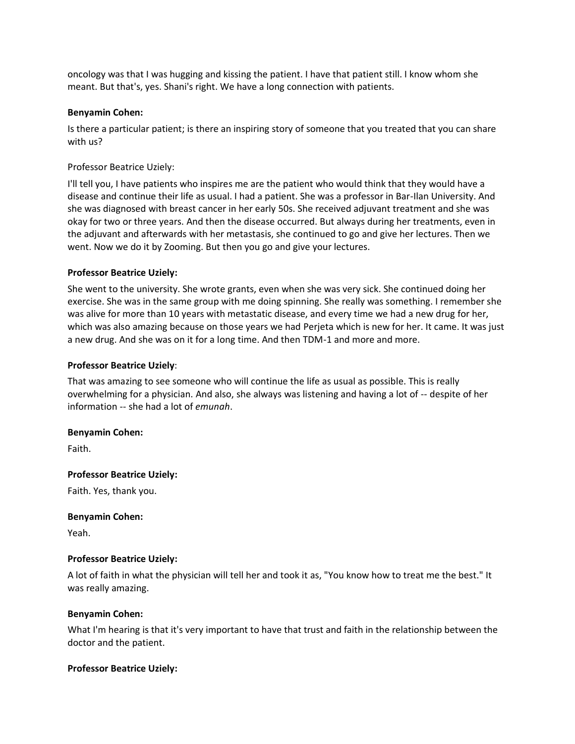oncology was that I was hugging and kissing the patient. I have that patient still. I know whom she meant. But that's, yes. Shani's right. We have a long connection with patients.

#### **Benyamin Cohen:**

Is there a particular patient; is there an inspiring story of someone that you treated that you can share with us?

Professor Beatrice Uziely:

I'll tell you, I have patients who inspires me are the patient who would think that they would have a disease and continue their life as usual. I had a patient. She was a professor in Bar-Ilan University. And she was diagnosed with breast cancer in her early 50s. She received adjuvant treatment and she was okay for two or three years. And then the disease occurred. But always during her treatments, even in the adjuvant and afterwards with her metastasis, she continued to go and give her lectures. Then we went. Now we do it by Zooming. But then you go and give your lectures.

#### **Professor Beatrice Uziely:**

She went to the university. She wrote grants, even when she was very sick. She continued doing her exercise. She was in the same group with me doing spinning. She really was something. I remember she was alive for more than 10 years with metastatic disease, and every time we had a new drug for her, which was also amazing because on those years we had Perjeta which is new for her. It came. It was just a new drug. And she was on it for a long time. And then TDM-1 and more and more.

#### **Professor Beatrice Uziely**:

That was amazing to see someone who will continue the life as usual as possible. This is really overwhelming for a physician. And also, she always was listening and having a lot of -- despite of her information -- she had a lot of *emunah*.

#### **Benyamin Cohen:**

Faith.

#### **Professor Beatrice Uziely:**

Faith. Yes, thank you.

#### **Benyamin Cohen:**

Yeah.

#### **Professor Beatrice Uziely:**

A lot of faith in what the physician will tell her and took it as, "You know how to treat me the best." It was really amazing.

#### **Benyamin Cohen:**

What I'm hearing is that it's very important to have that trust and faith in the relationship between the doctor and the patient.

#### **Professor Beatrice Uziely:**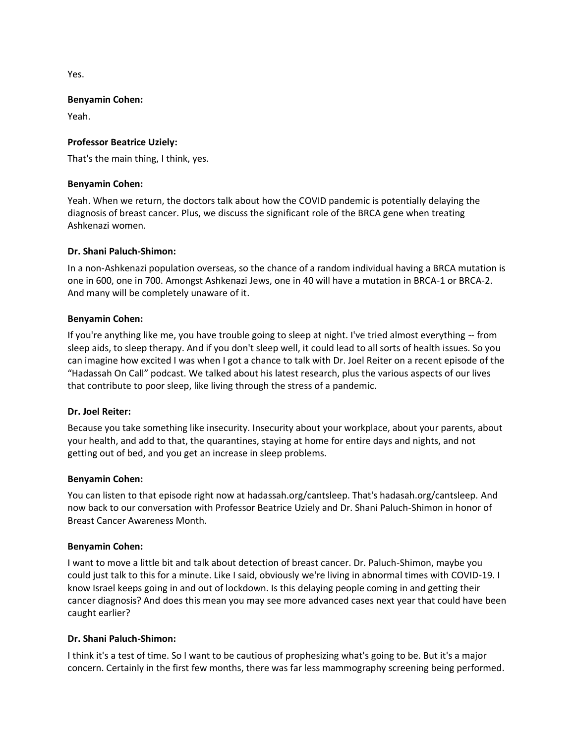Yes.

#### **Benyamin Cohen:**

Yeah.

## **Professor Beatrice Uziely:**

That's the main thing, I think, yes.

#### **Benyamin Cohen:**

Yeah. When we return, the doctors talk about how the COVID pandemic is potentially delaying the diagnosis of breast cancer. Plus, we discuss the significant role of the BRCA gene when treating Ashkenazi women.

#### **Dr. Shani Paluch-Shimon:**

In a non-Ashkenazi population overseas, so the chance of a random individual having a BRCA mutation is one in 600, one in 700. Amongst Ashkenazi Jews, one in 40 will have a mutation in BRCA-1 or BRCA-2. And many will be completely unaware of it.

#### **Benyamin Cohen:**

If you're anything like me, you have trouble going to sleep at night. I've tried almost everything -- from sleep aids, to sleep therapy. And if you don't sleep well, it could lead to all sorts of health issues. So you can imagine how excited I was when I got a chance to talk with Dr. Joel Reiter on a recent episode of the "Hadassah On Call" podcast. We talked about his latest research, plus the various aspects of our lives that contribute to poor sleep, like living through the stress of a pandemic.

#### **Dr. Joel Reiter:**

Because you take something like insecurity. Insecurity about your workplace, about your parents, about your health, and add to that, the quarantines, staying at home for entire days and nights, and not getting out of bed, and you get an increase in sleep problems.

#### **Benyamin Cohen:**

You can listen to that episode right now at hadassah.org/cantsleep. That's hadasah.org/cantsleep. And now back to our conversation with Professor Beatrice Uziely and Dr. Shani Paluch-Shimon in honor of Breast Cancer Awareness Month.

#### **Benyamin Cohen:**

I want to move a little bit and talk about detection of breast cancer. Dr. Paluch-Shimon, maybe you could just talk to this for a minute. Like I said, obviously we're living in abnormal times with COVID-19. I know Israel keeps going in and out of lockdown. Is this delaying people coming in and getting their cancer diagnosis? And does this mean you may see more advanced cases next year that could have been caught earlier?

## **Dr. Shani Paluch-Shimon:**

I think it's a test of time. So I want to be cautious of prophesizing what's going to be. But it's a major concern. Certainly in the first few months, there was far less mammography screening being performed.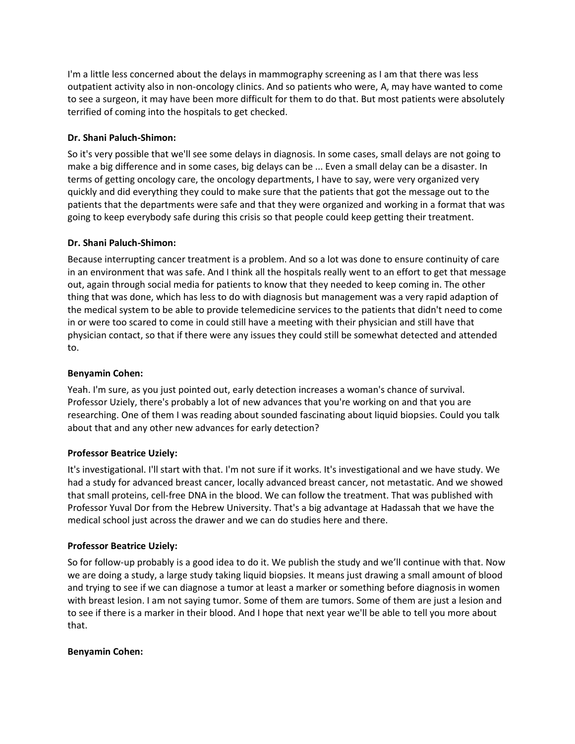I'm a little less concerned about the delays in mammography screening as I am that there was less outpatient activity also in non-oncology clinics. And so patients who were, A, may have wanted to come to see a surgeon, it may have been more difficult for them to do that. But most patients were absolutely terrified of coming into the hospitals to get checked.

# **Dr. Shani Paluch-Shimon:**

So it's very possible that we'll see some delays in diagnosis. In some cases, small delays are not going to make a big difference and in some cases, big delays can be ... Even a small delay can be a disaster. In terms of getting oncology care, the oncology departments, I have to say, were very organized very quickly and did everything they could to make sure that the patients that got the message out to the patients that the departments were safe and that they were organized and working in a format that was going to keep everybody safe during this crisis so that people could keep getting their treatment.

# **Dr. Shani Paluch-Shimon:**

Because interrupting cancer treatment is a problem. And so a lot was done to ensure continuity of care in an environment that was safe. And I think all the hospitals really went to an effort to get that message out, again through social media for patients to know that they needed to keep coming in. The other thing that was done, which has less to do with diagnosis but management was a very rapid adaption of the medical system to be able to provide telemedicine services to the patients that didn't need to come in or were too scared to come in could still have a meeting with their physician and still have that physician contact, so that if there were any issues they could still be somewhat detected and attended to.

# **Benyamin Cohen:**

Yeah. I'm sure, as you just pointed out, early detection increases a woman's chance of survival. Professor Uziely, there's probably a lot of new advances that you're working on and that you are researching. One of them I was reading about sounded fascinating about liquid biopsies. Could you talk about that and any other new advances for early detection?

# **Professor Beatrice Uziely:**

It's investigational. I'll start with that. I'm not sure if it works. It's investigational and we have study. We had a study for advanced breast cancer, locally advanced breast cancer, not metastatic. And we showed that small proteins, cell-free DNA in the blood. We can follow the treatment. That was published with Professor Yuval Dor from the Hebrew University. That's a big advantage at Hadassah that we have the medical school just across the drawer and we can do studies here and there.

# **Professor Beatrice Uziely:**

So for follow-up probably is a good idea to do it. We publish the study and we'll continue with that. Now we are doing a study, a large study taking liquid biopsies. It means just drawing a small amount of blood and trying to see if we can diagnose a tumor at least a marker or something before diagnosis in women with breast lesion. I am not saying tumor. Some of them are tumors. Some of them are just a lesion and to see if there is a marker in their blood. And I hope that next year we'll be able to tell you more about that.

# **Benyamin Cohen:**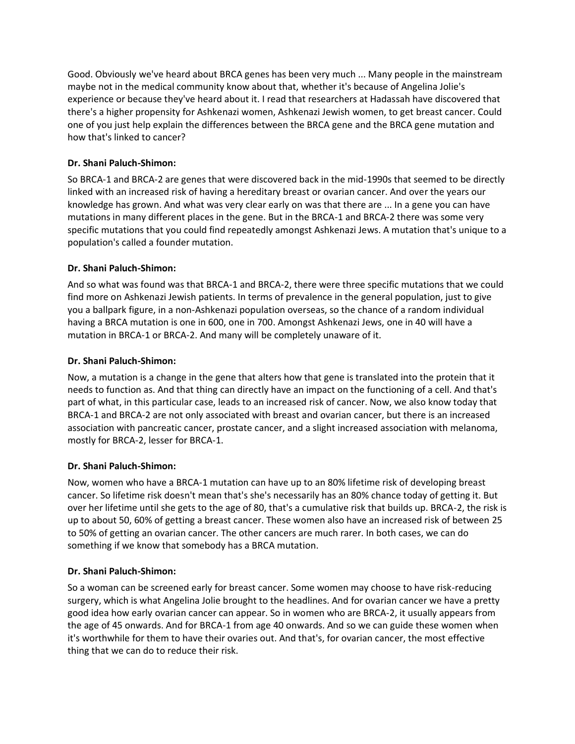Good. Obviously we've heard about BRCA genes has been very much ... Many people in the mainstream maybe not in the medical community know about that, whether it's because of Angelina Jolie's experience or because they've heard about it. I read that researchers at Hadassah have discovered that there's a higher propensity for Ashkenazi women, Ashkenazi Jewish women, to get breast cancer. Could one of you just help explain the differences between the BRCA gene and the BRCA gene mutation and how that's linked to cancer?

# **Dr. Shani Paluch-Shimon:**

So BRCA-1 and BRCA-2 are genes that were discovered back in the mid-1990s that seemed to be directly linked with an increased risk of having a hereditary breast or ovarian cancer. And over the years our knowledge has grown. And what was very clear early on was that there are ... In a gene you can have mutations in many different places in the gene. But in the BRCA-1 and BRCA-2 there was some very specific mutations that you could find repeatedly amongst Ashkenazi Jews. A mutation that's unique to a population's called a founder mutation.

# **Dr. Shani Paluch-Shimon:**

And so what was found was that BRCA-1 and BRCA-2, there were three specific mutations that we could find more on Ashkenazi Jewish patients. In terms of prevalence in the general population, just to give you a ballpark figure, in a non-Ashkenazi population overseas, so the chance of a random individual having a BRCA mutation is one in 600, one in 700. Amongst Ashkenazi Jews, one in 40 will have a mutation in BRCA-1 or BRCA-2. And many will be completely unaware of it.

# **Dr. Shani Paluch-Shimon:**

Now, a mutation is a change in the gene that alters how that gene is translated into the protein that it needs to function as. And that thing can directly have an impact on the functioning of a cell. And that's part of what, in this particular case, leads to an increased risk of cancer. Now, we also know today that BRCA-1 and BRCA-2 are not only associated with breast and ovarian cancer, but there is an increased association with pancreatic cancer, prostate cancer, and a slight increased association with melanoma, mostly for BRCA-2, lesser for BRCA-1.

## **Dr. Shani Paluch-Shimon:**

Now, women who have a BRCA-1 mutation can have up to an 80% lifetime risk of developing breast cancer. So lifetime risk doesn't mean that's she's necessarily has an 80% chance today of getting it. But over her lifetime until she gets to the age of 80, that's a cumulative risk that builds up. BRCA-2, the risk is up to about 50, 60% of getting a breast cancer. These women also have an increased risk of between 25 to 50% of getting an ovarian cancer. The other cancers are much rarer. In both cases, we can do something if we know that somebody has a BRCA mutation.

## **Dr. Shani Paluch-Shimon:**

So a woman can be screened early for breast cancer. Some women may choose to have risk-reducing surgery, which is what Angelina Jolie brought to the headlines. And for ovarian cancer we have a pretty good idea how early ovarian cancer can appear. So in women who are BRCA-2, it usually appears from the age of 45 onwards. And for BRCA-1 from age 40 onwards. And so we can guide these women when it's worthwhile for them to have their ovaries out. And that's, for ovarian cancer, the most effective thing that we can do to reduce their risk.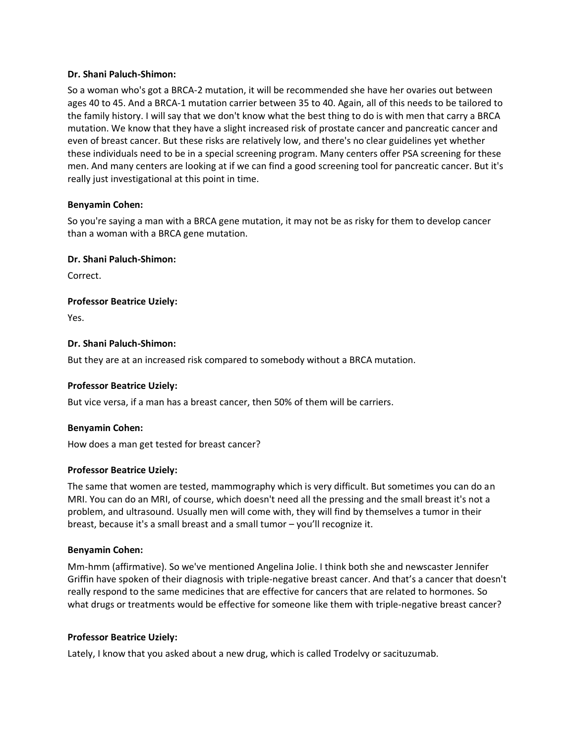#### **Dr. Shani Paluch-Shimon:**

So a woman who's got a BRCA-2 mutation, it will be recommended she have her ovaries out between ages 40 to 45. And a BRCA-1 mutation carrier between 35 to 40. Again, all of this needs to be tailored to the family history. I will say that we don't know what the best thing to do is with men that carry a BRCA mutation. We know that they have a slight increased risk of prostate cancer and pancreatic cancer and even of breast cancer. But these risks are relatively low, and there's no clear guidelines yet whether these individuals need to be in a special screening program. Many centers offer PSA screening for these men. And many centers are looking at if we can find a good screening tool for pancreatic cancer. But it's really just investigational at this point in time.

## **Benyamin Cohen:**

So you're saying a man with a BRCA gene mutation, it may not be as risky for them to develop cancer than a woman with a BRCA gene mutation.

## **Dr. Shani Paluch-Shimon:**

Correct.

**Professor Beatrice Uziely:**

Yes.

## **Dr. Shani Paluch-Shimon:**

But they are at an increased risk compared to somebody without a BRCA mutation.

## **Professor Beatrice Uziely:**

But vice versa, if a man has a breast cancer, then 50% of them will be carriers.

## **Benyamin Cohen:**

How does a man get tested for breast cancer?

## **Professor Beatrice Uziely:**

The same that women are tested, mammography which is very difficult. But sometimes you can do an MRI. You can do an MRI, of course, which doesn't need all the pressing and the small breast it's not a problem, and ultrasound. Usually men will come with, they will find by themselves a tumor in their breast, because it's a small breast and a small tumor – you'll recognize it.

## **Benyamin Cohen:**

Mm-hmm (affirmative). So we've mentioned Angelina Jolie. I think both she and newscaster Jennifer Griffin have spoken of their diagnosis with triple-negative breast cancer. And that's a cancer that doesn't really respond to the same medicines that are effective for cancers that are related to hormones. So what drugs or treatments would be effective for someone like them with triple-negative breast cancer?

## **Professor Beatrice Uziely:**

Lately, I know that you asked about a new drug, which is called Trodelvy or sacituzumab.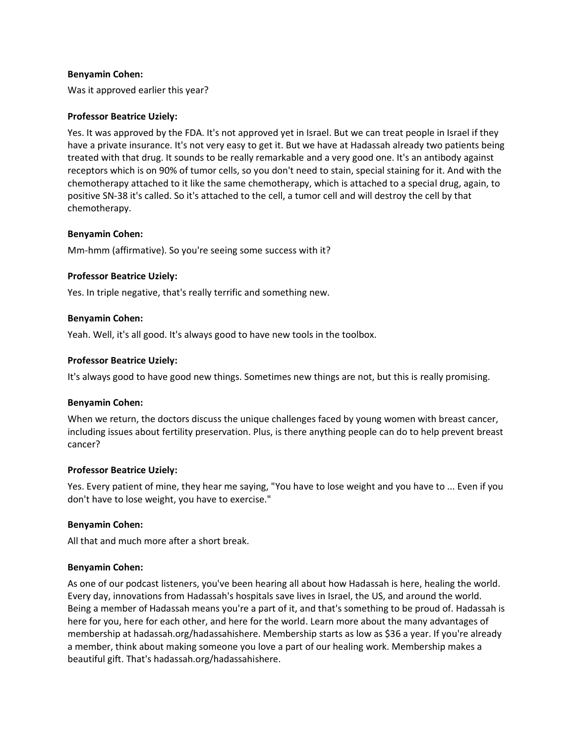#### **Benyamin Cohen:**

Was it approved earlier this year?

#### **Professor Beatrice Uziely:**

Yes. It was approved by the FDA. It's not approved yet in Israel. But we can treat people in Israel if they have a private insurance. It's not very easy to get it. But we have at Hadassah already two patients being treated with that drug. It sounds to be really remarkable and a very good one. It's an antibody against receptors which is on 90% of tumor cells, so you don't need to stain, special staining for it. And with the chemotherapy attached to it like the same chemotherapy, which is attached to a special drug, again, to positive SN-38 it's called. So it's attached to the cell, a tumor cell and will destroy the cell by that chemotherapy.

#### **Benyamin Cohen:**

Mm-hmm (affirmative). So you're seeing some success with it?

#### **Professor Beatrice Uziely:**

Yes. In triple negative, that's really terrific and something new.

#### **Benyamin Cohen:**

Yeah. Well, it's all good. It's always good to have new tools in the toolbox.

#### **Professor Beatrice Uziely:**

It's always good to have good new things. Sometimes new things are not, but this is really promising.

#### **Benyamin Cohen:**

When we return, the doctors discuss the unique challenges faced by young women with breast cancer, including issues about fertility preservation. Plus, is there anything people can do to help prevent breast cancer?

## **Professor Beatrice Uziely:**

Yes. Every patient of mine, they hear me saying, "You have to lose weight and you have to ... Even if you don't have to lose weight, you have to exercise."

#### **Benyamin Cohen:**

All that and much more after a short break.

#### **Benyamin Cohen:**

As one of our podcast listeners, you've been hearing all about how Hadassah is here, healing the world. Every day, innovations from Hadassah's hospitals save lives in Israel, the US, and around the world. Being a member of Hadassah means you're a part of it, and that's something to be proud of. Hadassah is here for you, here for each other, and here for the world. Learn more about the many advantages of membership at hadassah.org/hadassahishere. Membership starts as low as \$36 a year. If you're already a member, think about making someone you love a part of our healing work. Membership makes a beautiful gift. That's hadassah.org/hadassahishere.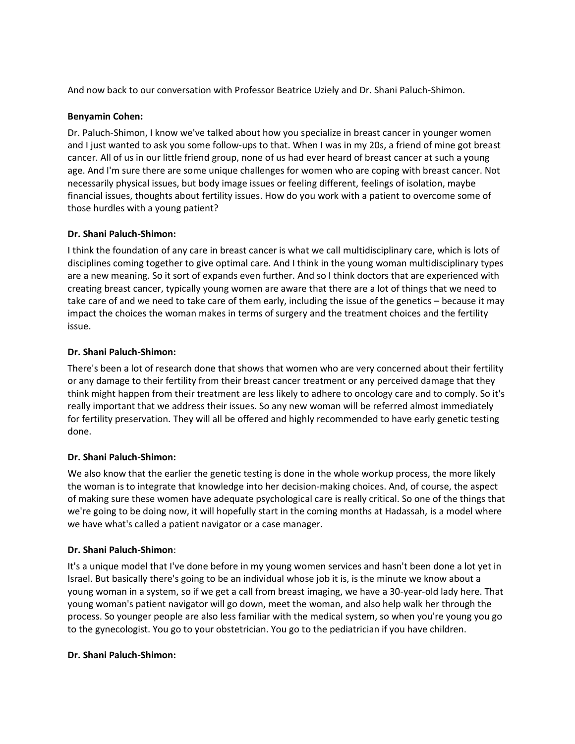And now back to our conversation with Professor Beatrice Uziely and Dr. Shani Paluch-Shimon.

# **Benyamin Cohen:**

Dr. Paluch-Shimon, I know we've talked about how you specialize in breast cancer in younger women and I just wanted to ask you some follow-ups to that. When I was in my 20s, a friend of mine got breast cancer. All of us in our little friend group, none of us had ever heard of breast cancer at such a young age. And I'm sure there are some unique challenges for women who are coping with breast cancer. Not necessarily physical issues, but body image issues or feeling different, feelings of isolation, maybe financial issues, thoughts about fertility issues. How do you work with a patient to overcome some of those hurdles with a young patient?

# **Dr. Shani Paluch-Shimon:**

I think the foundation of any care in breast cancer is what we call multidisciplinary care, which is lots of disciplines coming together to give optimal care. And I think in the young woman multidisciplinary types are a new meaning. So it sort of expands even further. And so I think doctors that are experienced with creating breast cancer, typically young women are aware that there are a lot of things that we need to take care of and we need to take care of them early, including the issue of the genetics – because it may impact the choices the woman makes in terms of surgery and the treatment choices and the fertility issue.

# **Dr. Shani Paluch-Shimon:**

There's been a lot of research done that shows that women who are very concerned about their fertility or any damage to their fertility from their breast cancer treatment or any perceived damage that they think might happen from their treatment are less likely to adhere to oncology care and to comply. So it's really important that we address their issues. So any new woman will be referred almost immediately for fertility preservation. They will all be offered and highly recommended to have early genetic testing done.

# **Dr. Shani Paluch-Shimon:**

We also know that the earlier the genetic testing is done in the whole workup process, the more likely the woman is to integrate that knowledge into her decision-making choices. And, of course, the aspect of making sure these women have adequate psychological care is really critical. So one of the things that we're going to be doing now, it will hopefully start in the coming months at Hadassah, is a model where we have what's called a patient navigator or a case manager.

# **Dr. Shani Paluch-Shimon**:

It's a unique model that I've done before in my young women services and hasn't been done a lot yet in Israel. But basically there's going to be an individual whose job it is, is the minute we know about a young woman in a system, so if we get a call from breast imaging, we have a 30-year-old lady here. That young woman's patient navigator will go down, meet the woman, and also help walk her through the process. So younger people are also less familiar with the medical system, so when you're young you go to the gynecologist. You go to your obstetrician. You go to the pediatrician if you have children.

## **Dr. Shani Paluch-Shimon:**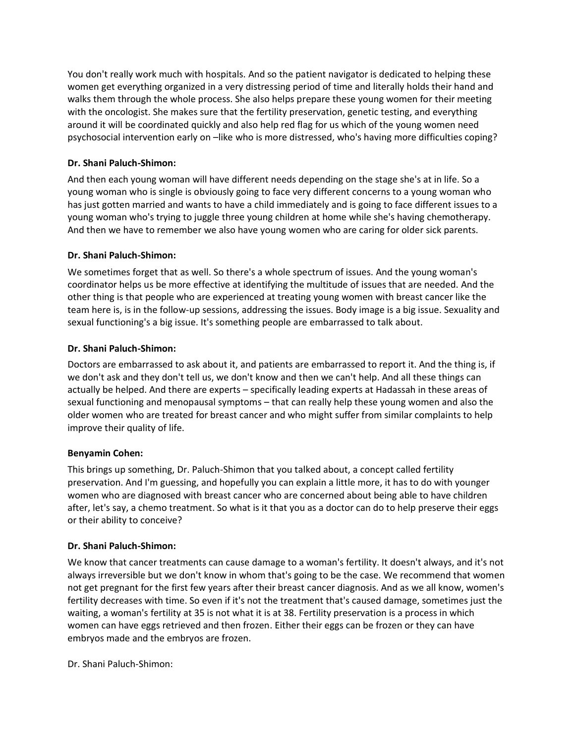You don't really work much with hospitals. And so the patient navigator is dedicated to helping these women get everything organized in a very distressing period of time and literally holds their hand and walks them through the whole process. She also helps prepare these young women for their meeting with the oncologist. She makes sure that the fertility preservation, genetic testing, and everything around it will be coordinated quickly and also help red flag for us which of the young women need psychosocial intervention early on –like who is more distressed, who's having more difficulties coping?

# **Dr. Shani Paluch-Shimon:**

And then each young woman will have different needs depending on the stage she's at in life. So a young woman who is single is obviously going to face very different concerns to a young woman who has just gotten married and wants to have a child immediately and is going to face different issues to a young woman who's trying to juggle three young children at home while she's having chemotherapy. And then we have to remember we also have young women who are caring for older sick parents.

# **Dr. Shani Paluch-Shimon:**

We sometimes forget that as well. So there's a whole spectrum of issues. And the young woman's coordinator helps us be more effective at identifying the multitude of issues that are needed. And the other thing is that people who are experienced at treating young women with breast cancer like the team here is, is in the follow-up sessions, addressing the issues. Body image is a big issue. Sexuality and sexual functioning's a big issue. It's something people are embarrassed to talk about.

# **Dr. Shani Paluch-Shimon:**

Doctors are embarrassed to ask about it, and patients are embarrassed to report it. And the thing is, if we don't ask and they don't tell us, we don't know and then we can't help. And all these things can actually be helped. And there are experts – specifically leading experts at Hadassah in these areas of sexual functioning and menopausal symptoms – that can really help these young women and also the older women who are treated for breast cancer and who might suffer from similar complaints to help improve their quality of life.

## **Benyamin Cohen:**

This brings up something, Dr. Paluch-Shimon that you talked about, a concept called fertility preservation. And I'm guessing, and hopefully you can explain a little more, it has to do with younger women who are diagnosed with breast cancer who are concerned about being able to have children after, let's say, a chemo treatment. So what is it that you as a doctor can do to help preserve their eggs or their ability to conceive?

## **Dr. Shani Paluch-Shimon:**

We know that cancer treatments can cause damage to a woman's fertility. It doesn't always, and it's not always irreversible but we don't know in whom that's going to be the case. We recommend that women not get pregnant for the first few years after their breast cancer diagnosis. And as we all know, women's fertility decreases with time. So even if it's not the treatment that's caused damage, sometimes just the waiting, a woman's fertility at 35 is not what it is at 38. Fertility preservation is a process in which women can have eggs retrieved and then frozen. Either their eggs can be frozen or they can have embryos made and the embryos are frozen.

Dr. Shani Paluch-Shimon: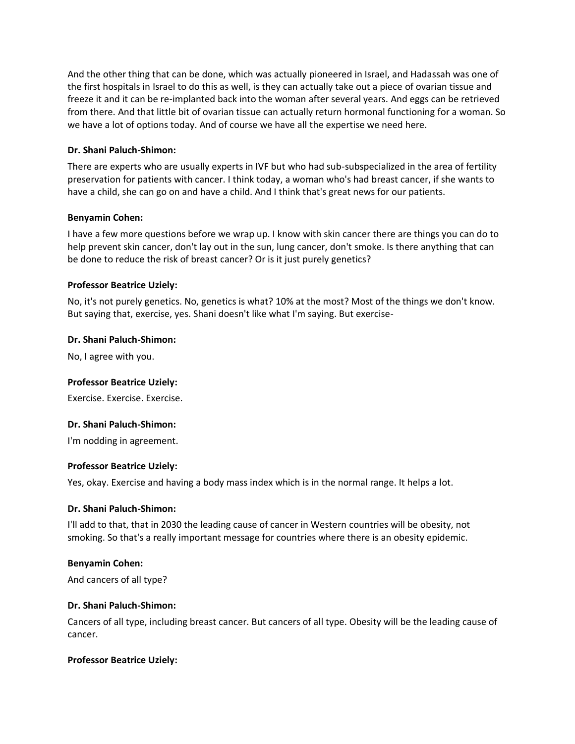And the other thing that can be done, which was actually pioneered in Israel, and Hadassah was one of the first hospitals in Israel to do this as well, is they can actually take out a piece of ovarian tissue and freeze it and it can be re-implanted back into the woman after several years. And eggs can be retrieved from there. And that little bit of ovarian tissue can actually return hormonal functioning for a woman. So we have a lot of options today. And of course we have all the expertise we need here.

# **Dr. Shani Paluch-Shimon:**

There are experts who are usually experts in IVF but who had sub-subspecialized in the area of fertility preservation for patients with cancer. I think today, a woman who's had breast cancer, if she wants to have a child, she can go on and have a child. And I think that's great news for our patients.

## **Benyamin Cohen:**

I have a few more questions before we wrap up. I know with skin cancer there are things you can do to help prevent skin cancer, don't lay out in the sun, lung cancer, don't smoke. Is there anything that can be done to reduce the risk of breast cancer? Or is it just purely genetics?

# **Professor Beatrice Uziely:**

No, it's not purely genetics. No, genetics is what? 10% at the most? Most of the things we don't know. But saying that, exercise, yes. Shani doesn't like what I'm saying. But exercise-

## **Dr. Shani Paluch-Shimon:**

No, I agree with you.

## **Professor Beatrice Uziely:**

Exercise. Exercise. Exercise.

## **Dr. Shani Paluch-Shimon:**

I'm nodding in agreement.

## **Professor Beatrice Uziely:**

Yes, okay. Exercise and having a body mass index which is in the normal range. It helps a lot.

## **Dr. Shani Paluch-Shimon:**

I'll add to that, that in 2030 the leading cause of cancer in Western countries will be obesity, not smoking. So that's a really important message for countries where there is an obesity epidemic.

## **Benyamin Cohen:**

And cancers of all type?

## **Dr. Shani Paluch-Shimon:**

Cancers of all type, including breast cancer. But cancers of all type. Obesity will be the leading cause of cancer.

## **Professor Beatrice Uziely:**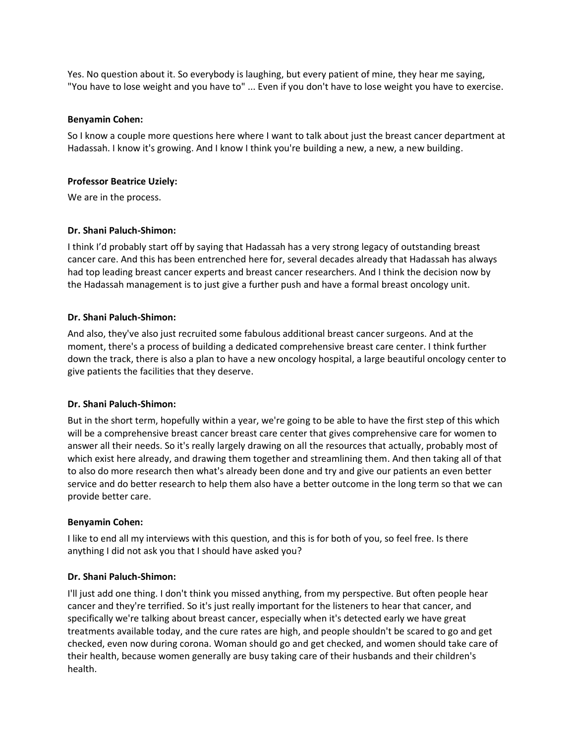Yes. No question about it. So everybody is laughing, but every patient of mine, they hear me saying, "You have to lose weight and you have to" ... Even if you don't have to lose weight you have to exercise.

#### **Benyamin Cohen:**

So I know a couple more questions here where I want to talk about just the breast cancer department at Hadassah. I know it's growing. And I know I think you're building a new, a new, a new building.

#### **Professor Beatrice Uziely:**

We are in the process.

## **Dr. Shani Paluch-Shimon:**

I think I'd probably start off by saying that Hadassah has a very strong legacy of outstanding breast cancer care. And this has been entrenched here for, several decades already that Hadassah has always had top leading breast cancer experts and breast cancer researchers. And I think the decision now by the Hadassah management is to just give a further push and have a formal breast oncology unit.

#### **Dr. Shani Paluch-Shimon:**

And also, they've also just recruited some fabulous additional breast cancer surgeons. And at the moment, there's a process of building a dedicated comprehensive breast care center. I think further down the track, there is also a plan to have a new oncology hospital, a large beautiful oncology center to give patients the facilities that they deserve.

## **Dr. Shani Paluch-Shimon:**

But in the short term, hopefully within a year, we're going to be able to have the first step of this which will be a comprehensive breast cancer breast care center that gives comprehensive care for women to answer all their needs. So it's really largely drawing on all the resources that actually, probably most of which exist here already, and drawing them together and streamlining them. And then taking all of that to also do more research then what's already been done and try and give our patients an even better service and do better research to help them also have a better outcome in the long term so that we can provide better care.

## **Benyamin Cohen:**

I like to end all my interviews with this question, and this is for both of you, so feel free. Is there anything I did not ask you that I should have asked you?

## **Dr. Shani Paluch-Shimon:**

I'll just add one thing. I don't think you missed anything, from my perspective. But often people hear cancer and they're terrified. So it's just really important for the listeners to hear that cancer, and specifically we're talking about breast cancer, especially when it's detected early we have great treatments available today, and the cure rates are high, and people shouldn't be scared to go and get checked, even now during corona. Woman should go and get checked, and women should take care of their health, because women generally are busy taking care of their husbands and their children's health.